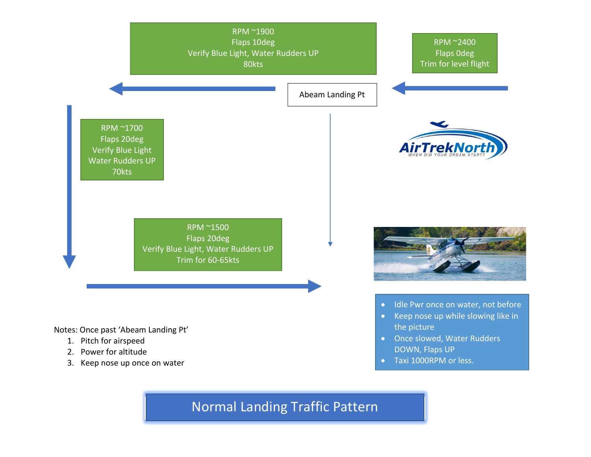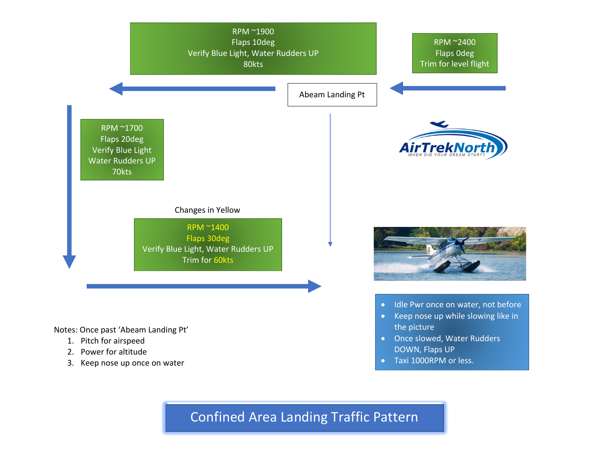

Confined Area Landing Traffic Pattern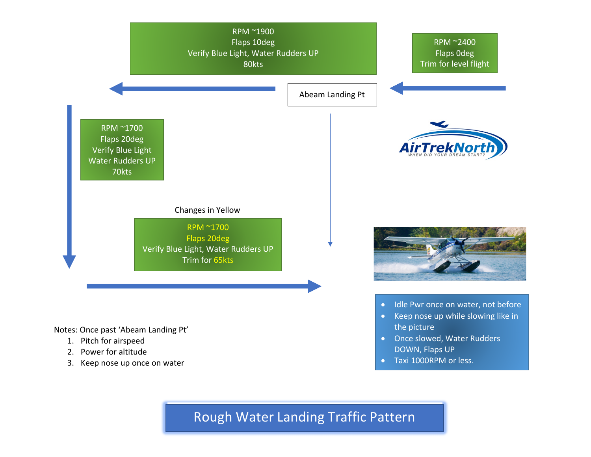

Rough Water Landing Traffic Pattern